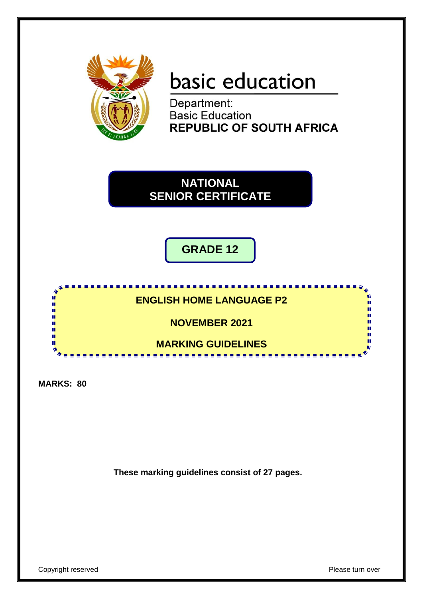

# basic education

Department: **Basic Education REPUBLIC OF SOUTH AFRICA** 

# **NATIONAL SENIOR CERTIFICATE**

**GRADE 12**



**MARKS: 80**

**These marking guidelines consist of 27 pages.**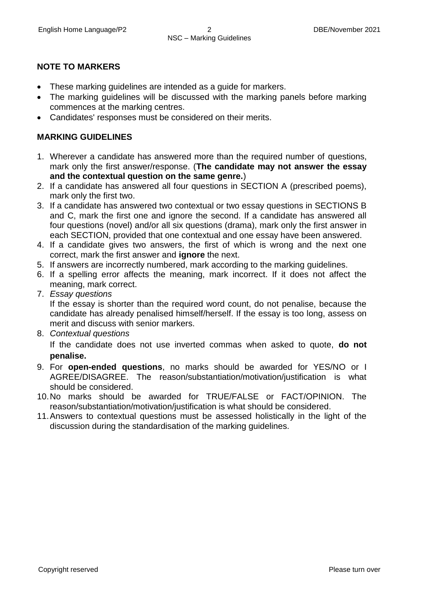# **NOTE TO MARKERS**

- These marking guidelines are intended as a guide for markers.
- The marking guidelines will be discussed with the marking panels before marking commences at the marking centres.
- Candidates' responses must be considered on their merits.

# **MARKING GUIDELINES**

- 1. Wherever a candidate has answered more than the required number of questions, mark only the first answer/response. (**The candidate may not answer the essay and the contextual question on the same genre.**)
- 2. If a candidate has answered all four questions in SECTION A (prescribed poems), mark only the first two.
- 3. If a candidate has answered two contextual or two essay questions in SECTIONS B and C, mark the first one and ignore the second. If a candidate has answered all four questions (novel) and/or all six questions (drama), mark only the first answer in each SECTION, provided that one contextual and one essay have been answered.
- 4. If a candidate gives two answers, the first of which is wrong and the next one correct, mark the first answer and **ignore** the next.
- 5. If answers are incorrectly numbered, mark according to the marking guidelines.
- 6. If a spelling error affects the meaning, mark incorrect. If it does not affect the meaning, mark correct.
- 7. *Essay questions*

If the essay is shorter than the required word count, do not penalise, because the candidate has already penalised himself/herself. If the essay is too long, assess on merit and discuss with senior markers.

8. *Contextual questions*

If the candidate does not use inverted commas when asked to quote, **do not penalise.**

- 9. For **open-ended questions**, no marks should be awarded for YES/NO or I AGREE/DISAGREE. The reason/substantiation/motivation/justification is what should be considered.
- 10.No marks should be awarded for TRUE/FALSE or FACT/OPINION. The reason/substantiation/motivation/justification is what should be considered.
- 11.Answers to contextual questions must be assessed holistically in the light of the discussion during the standardisation of the marking guidelines.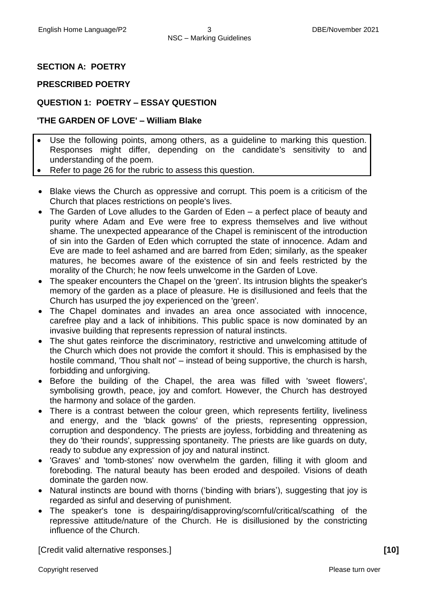# **SECTION A: POETRY**

## **PRESCRIBED POETRY**

# **QUESTION 1: POETRY – ESSAY QUESTION**

## **'THE GARDEN OF LOVE' – William Blake**

- Use the following points, among others, as a guideline to marking this question. Responses might differ, depending on the candidate's sensitivity to and understanding of the poem.
- Refer to page 26 for the rubric to assess this question.
- Blake views the Church as oppressive and corrupt. This poem is a criticism of the Church that places restrictions on people's lives.
- The Garden of Love alludes to the Garden of Eden a perfect place of beauty and purity where Adam and Eve were free to express themselves and live without shame. The unexpected appearance of the Chapel is reminiscent of the introduction of sin into the Garden of Eden which corrupted the state of innocence. Adam and Eve are made to feel ashamed and are barred from Eden; similarly, as the speaker matures, he becomes aware of the existence of sin and feels restricted by the morality of the Church; he now feels unwelcome in the Garden of Love.
- The speaker encounters the Chapel on the 'green'. Its intrusion blights the speaker's memory of the garden as a place of pleasure. He is disillusioned and feels that the Church has usurped the joy experienced on the 'green'.
- The Chapel dominates and invades an area once associated with innocence, carefree play and a lack of inhibitions. This public space is now dominated by an invasive building that represents repression of natural instincts.
- The shut gates reinforce the discriminatory, restrictive and unwelcoming attitude of the Church which does not provide the comfort it should. This is emphasised by the hostile command, 'Thou shalt not' – instead of being supportive, the church is harsh, forbidding and unforgiving.
- Before the building of the Chapel, the area was filled with 'sweet flowers', symbolising growth, peace, joy and comfort. However, the Church has destroyed the harmony and solace of the garden.
- There is a contrast between the colour green, which represents fertility, liveliness and energy, and the 'black gowns' of the priests, representing oppression, corruption and despondency. The priests are joyless, forbidding and threatening as they do 'their rounds', suppressing spontaneity. The priests are like guards on duty, ready to subdue any expression of joy and natural instinct.
- 'Graves' and 'tomb-stones' now overwhelm the garden, filling it with gloom and foreboding. The natural beauty has been eroded and despoiled. Visions of death dominate the garden now.
- Natural instincts are bound with thorns ('binding with briars'), suggesting that joy is regarded as sinful and deserving of punishment.
- The speaker's tone is despairing/disapproving/scornful/critical/scathing of the repressive attitude/nature of the Church. He is disillusioned by the constricting influence of the Church.

[Credit valid alternative responses.] **[10]**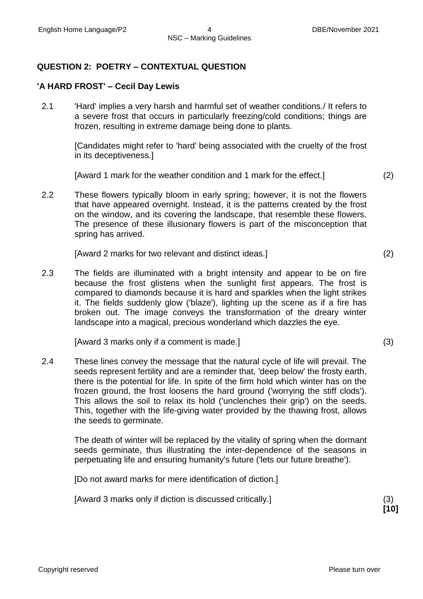# **QUESTION 2: POETRY – CONTEXTUAL QUESTION**

## **'A HARD FROST' – Cecil Day Lewis**

2.1 'Hard' implies a very harsh and harmful set of weather conditions./ It refers to a severe frost that occurs in particularly freezing/cold conditions; things are frozen, resulting in extreme damage being done to plants.

> [Candidates might refer to 'hard' being associated with the cruelty of the frost in its deceptiveness.]

[Award 1 mark for the weather condition and 1 mark for the effect.] (2)

2.2 These flowers typically bloom in early spring; however, it is not the flowers that have appeared overnight. Instead, it is the patterns created by the frost on the window, and its covering the landscape, that resemble these flowers. The presence of these illusionary flowers is part of the misconception that spring has arrived.

[Award 2 marks for two relevant and distinct ideas.] (2)

2.3 The fields are illuminated with a bright intensity and appear to be on fire because the frost glistens when the sunlight first appears. The frost is compared to diamonds because it is hard and sparkles when the light strikes it. The fields suddenly glow ('blaze'), lighting up the scene as if a fire has broken out. The image conveys the transformation of the dreary winter landscape into a magical, precious wonderland which dazzles the eye.

[Award 3 marks only if a comment is made.] (3)

2.4 These lines convey the message that the natural cycle of life will prevail. The seeds represent fertility and are a reminder that, 'deep below' the frosty earth, there is the potential for life. In spite of the firm hold which winter has on the frozen ground, the frost loosens the hard ground ('worrying the stiff clods'). This allows the soil to relax its hold ('unclenches their grip') on the seeds. This, together with the life-giving water provided by the thawing frost, allows the seeds to germinate.

> The death of winter will be replaced by the vitality of spring when the dormant seeds germinate, thus illustrating the inter-dependence of the seasons in perpetuating life and ensuring humanity's future ('lets our future breathe').

[Do not award marks for mere identification of diction.]

[Award 3 marks only if diction is discussed critically.] (3)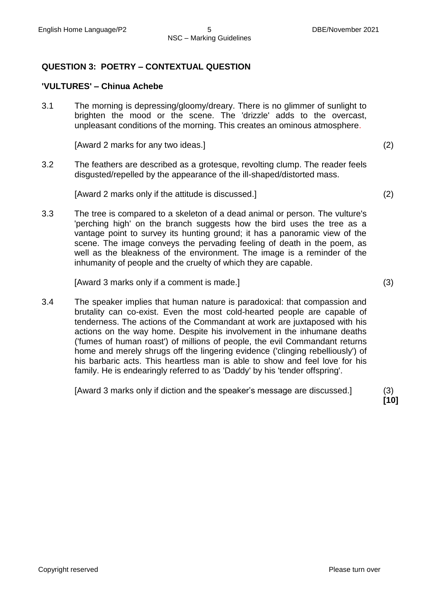# **QUESTION 3: POETRY – CONTEXTUAL QUESTION**

# **'VULTURES' – Chinua Achebe**

3.1 The morning is depressing/gloomy/dreary. There is no glimmer of sunlight to brighten the mood or the scene. The 'drizzle' adds to the overcast, unpleasant conditions of the morning. This creates an ominous atmosphere.

[Award 2 marks for any two ideas.] (2)

3.2 The feathers are described as a grotesque, revolting clump. The reader feels disgusted/repelled by the appearance of the ill-shaped/distorted mass.

[Award 2 marks only if the attitude is discussed.] (2)

3.3 The tree is compared to a skeleton of a dead animal or person. The vulture's 'perching high' on the branch suggests how the bird uses the tree as a vantage point to survey its hunting ground; it has a panoramic view of the scene. The image conveys the pervading feeling of death in the poem, as well as the bleakness of the environment. The image is a reminder of the inhumanity of people and the cruelty of which they are capable.

[Award 3 marks only if a comment is made.] (3)

3.4 The speaker implies that human nature is paradoxical: that compassion and brutality can co-exist. Even the most cold-hearted people are capable of tenderness. The actions of the Commandant at work are juxtaposed with his actions on the way home. Despite his involvement in the inhumane deaths ('fumes of human roast') of millions of people, the evil Commandant returns home and merely shrugs off the lingering evidence ('clinging rebelliously') of his barbaric acts. This heartless man is able to show and feel love for his family. He is endearingly referred to as 'Daddy' by his 'tender offspring'.

[Award 3 marks only if diction and the speaker's message are discussed.] (3)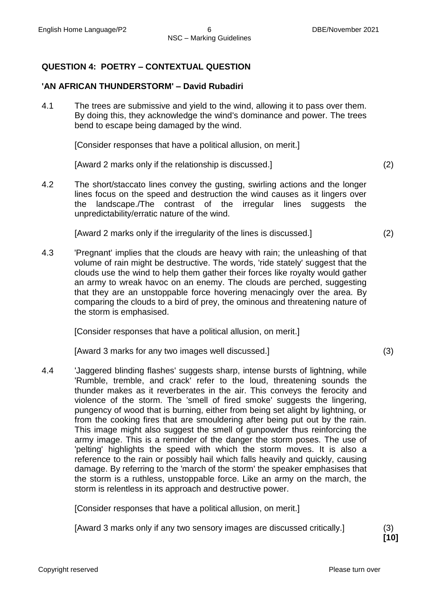# **QUESTION 4: POETRY – CONTEXTUAL QUESTION**

## **'AN AFRICAN THUNDERSTORM' – David Rubadiri**

4.1 The trees are submissive and yield to the wind, allowing it to pass over them. By doing this, they acknowledge the wind's dominance and power. The trees bend to escape being damaged by the wind.

[Consider responses that have a political allusion, on merit.]

[Award 2 marks only if the relationship is discussed.] (2)

4.2 The short/staccato lines convey the gusting, swirling actions and the longer lines focus on the speed and destruction the wind causes as it lingers over the landscape./The contrast of the irregular lines suggests the unpredictability/erratic nature of the wind.

[Award 2 marks only if the irregularity of the lines is discussed.] (2)

4.3 'Pregnant' implies that the clouds are heavy with rain; the unleashing of that volume of rain might be destructive. The words, 'ride stately' suggest that the clouds use the wind to help them gather their forces like royalty would gather an army to wreak havoc on an enemy. The clouds are perched, suggesting that they are an unstoppable force hovering menacingly over the area. By comparing the clouds to a bird of prey, the ominous and threatening nature of the storm is emphasised.

[Consider responses that have a political allusion, on merit.]

[Award 3 marks for any two images well discussed.] (3)

4.4 'Jaggered blinding flashes' suggests sharp, intense bursts of lightning, while 'Rumble, tremble, and crack' refer to the loud, threatening sounds the thunder makes as it reverberates in the air. This conveys the ferocity and violence of the storm. The 'smell of fired smoke' suggests the lingering, pungency of wood that is burning, either from being set alight by lightning, or from the cooking fires that are smouldering after being put out by the rain. This image might also suggest the smell of gunpowder thus reinforcing the army image. This is a reminder of the danger the storm poses. The use of 'pelting' highlights the speed with which the storm moves. It is also a reference to the rain or possibly hail which falls heavily and quickly, causing damage. By referring to the 'march of the storm' the speaker emphasises that the storm is a ruthless, unstoppable force. Like an army on the march, the storm is relentless in its approach and destructive power.

[Consider responses that have a political allusion, on merit.]

[Award 3 marks only if any two sensory images are discussed critically.] (3)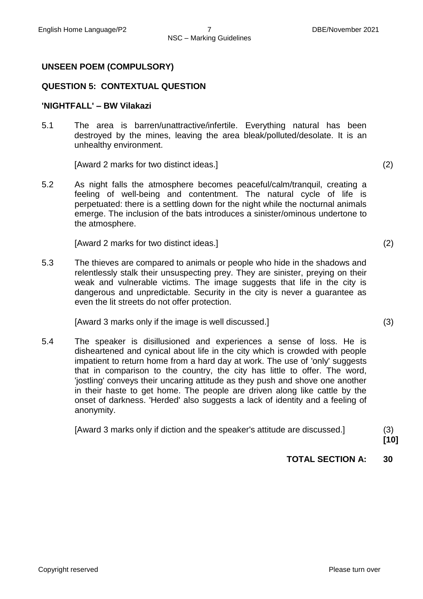# **UNSEEN POEM (COMPULSORY)**

# **QUESTION 5: CONTEXTUAL QUESTION**

#### **'NIGHTFALL' – BW Vilakazi**

5.1 The area is barren/unattractive/infertile. Everything natural has been destroyed by the mines, leaving the area bleak/polluted/desolate. It is an unhealthy environment.

[Award 2 marks for two distinct ideas.] (2)

5.2 As night falls the atmosphere becomes peaceful/calm/tranquil, creating a feeling of well-being and contentment. The natural cycle of life is perpetuated: there is a settling down for the night while the nocturnal animals emerge. The inclusion of the bats introduces a sinister/ominous undertone to the atmosphere.

[Award 2 marks for two distinct ideas.] (2)

5.3 The thieves are compared to animals or people who hide in the shadows and relentlessly stalk their unsuspecting prey. They are sinister, preying on their weak and vulnerable victims. The image suggests that life in the city is dangerous and unpredictable. Security in the city is never a guarantee as even the lit streets do not offer protection.

[Award 3 marks only if the image is well discussed.] (3)

5.4 The speaker is disillusioned and experiences a sense of loss. He is disheartened and cynical about life in the city which is crowded with people impatient to return home from a hard day at work. The use of 'only' suggests that in comparison to the country, the city has little to offer. The word, 'jostling' conveys their uncaring attitude as they push and shove one another in their haste to get home. The people are driven along like cattle by the onset of darkness. 'Herded' also suggests a lack of identity and a feeling of anonymity.

[Award 3 marks only if diction and the speaker's attitude are discussed.] (3)

**[10]**

**TOTAL SECTION A: 30**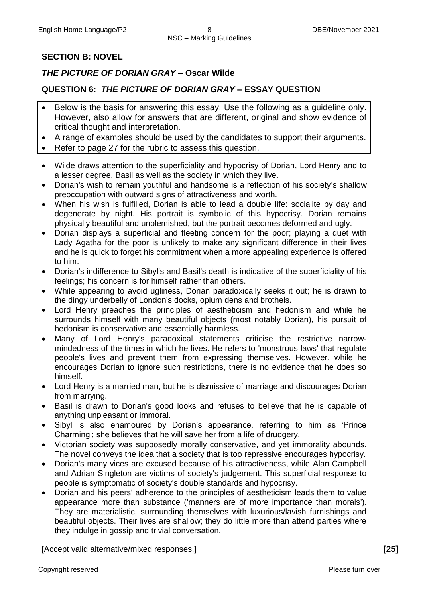# **SECTION B: NOVEL**

# *THE PICTURE OF DORIAN GRAY* **– Oscar Wilde**

# **QUESTION 6:** *THE PICTURE OF DORIAN GRAY* **– ESSAY QUESTION**

- Below is the basis for answering this essay. Use the following as a guideline only. However, also allow for answers that are different, original and show evidence of critical thought and interpretation.
- A range of examples should be used by the candidates to support their arguments.
- Refer to page 27 for the rubric to assess this question.
- Wilde draws attention to the superficiality and hypocrisy of Dorian, Lord Henry and to a lesser degree, Basil as well as the society in which they live.
- Dorian's wish to remain youthful and handsome is a reflection of his society's shallow preoccupation with outward signs of attractiveness and worth.
- When his wish is fulfilled, Dorian is able to lead a double life: socialite by day and degenerate by night. His portrait is symbolic of this hypocrisy. Dorian remains physically beautiful and unblemished, but the portrait becomes deformed and ugly.
- Dorian displays a superficial and fleeting concern for the poor; playing a duet with Lady Agatha for the poor is unlikely to make any significant difference in their lives and he is quick to forget his commitment when a more appealing experience is offered to him.
- Dorian's indifference to Sibyl's and Basil's death is indicative of the superficiality of his feelings; his concern is for himself rather than others.
- While appearing to avoid ugliness, Dorian paradoxically seeks it out; he is drawn to the dingy underbelly of London's docks, opium dens and brothels.
- Lord Henry preaches the principles of aestheticism and hedonism and while he surrounds himself with many beautiful objects (most notably Dorian), his pursuit of hedonism is conservative and essentially harmless.
- Many of Lord Henry's paradoxical statements criticise the restrictive narrowmindedness of the times in which he lives. He refers to 'monstrous laws' that regulate people's lives and prevent them from expressing themselves. However, while he encourages Dorian to ignore such restrictions, there is no evidence that he does so himself.
- Lord Henry is a married man, but he is dismissive of marriage and discourages Dorian from marrying.
- Basil is drawn to Dorian's good looks and refuses to believe that he is capable of anything unpleasant or immoral.
- Sibyl is also enamoured by Dorian's appearance, referring to him as 'Prince Charming'; she believes that he will save her from a life of drudgery.
- Victorian society was supposedly morally conservative, and yet immorality abounds. The novel conveys the idea that a society that is too repressive encourages hypocrisy.
- Dorian's many vices are excused because of his attractiveness, while Alan Campbell and Adrian Singleton are victims of society's judgement. This superficial response to people is symptomatic of society's double standards and hypocrisy.
- Dorian and his peers' adherence to the principles of aestheticism leads them to value appearance more than substance ('manners are of more importance than morals'). They are materialistic, surrounding themselves with luxurious/lavish furnishings and beautiful objects. Their lives are shallow; they do little more than attend parties where they indulge in gossip and trivial conversation.

[Accept valid alternative/mixed responses.] **[25]**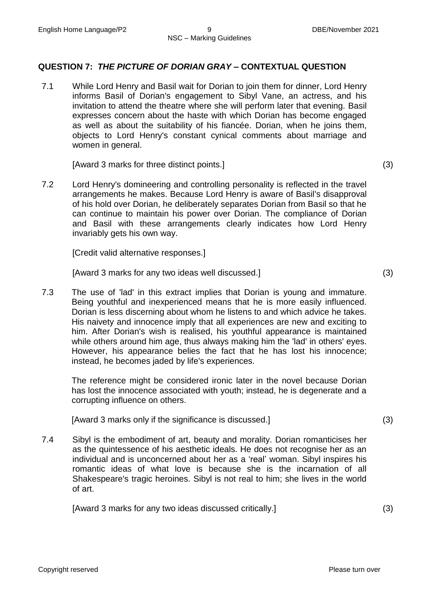# **QUESTION 7:** *THE PICTURE OF DORIAN GRAY* **– CONTEXTUAL QUESTION**

7.1 While Lord Henry and Basil wait for Dorian to join them for dinner, Lord Henry informs Basil of Dorian's engagement to Sibyl Vane, an actress, and his invitation to attend the theatre where she will perform later that evening. Basil expresses concern about the haste with which Dorian has become engaged as well as about the suitability of his fiancée. Dorian, when he joins them, objects to Lord Henry's constant cynical comments about marriage and women in general.

[Award 3 marks for three distinct points.] (3)

7.2 Lord Henry's domineering and controlling personality is reflected in the travel arrangements he makes. Because Lord Henry is aware of Basil's disapproval of his hold over Dorian, he deliberately separates Dorian from Basil so that he can continue to maintain his power over Dorian. The compliance of Dorian and Basil with these arrangements clearly indicates how Lord Henry invariably gets his own way.

[Credit valid alternative responses.]

[Award 3 marks for any two ideas well discussed.] (3)

7.3 The use of 'lad' in this extract implies that Dorian is young and immature. Being youthful and inexperienced means that he is more easily influenced. Dorian is less discerning about whom he listens to and which advice he takes. His naivety and innocence imply that all experiences are new and exciting to him. After Dorian's wish is realised, his youthful appearance is maintained while others around him age, thus always making him the 'lad' in others' eyes. However, his appearance belies the fact that he has lost his innocence; instead, he becomes jaded by life's experiences.

The reference might be considered ironic later in the novel because Dorian has lost the innocence associated with youth; instead, he is degenerate and a corrupting influence on others.

[Award 3 marks only if the significance is discussed.] (3)

7.4 Sibyl is the embodiment of art, beauty and morality. Dorian romanticises her as the quintessence of his aesthetic ideals. He does not recognise her as an individual and is unconcerned about her as a 'real' woman. Sibyl inspires his romantic ideas of what love is because she is the incarnation of all Shakespeare's tragic heroines. Sibyl is not real to him; she lives in the world of art.

[Award 3 marks for any two ideas discussed critically.] (3)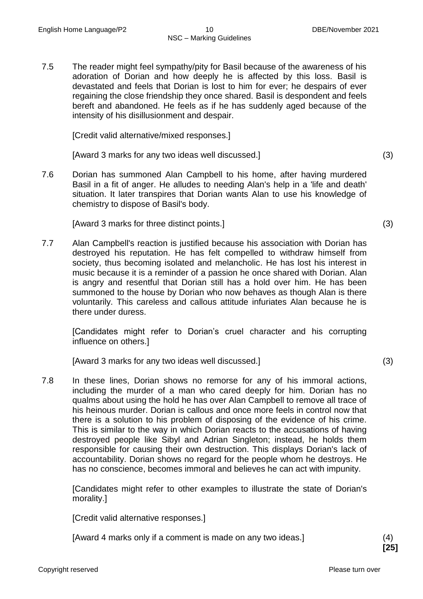7.5 The reader might feel sympathy/pity for Basil because of the awareness of his adoration of Dorian and how deeply he is affected by this loss. Basil is devastated and feels that Dorian is lost to him for ever; he despairs of ever regaining the close friendship they once shared. Basil is despondent and feels bereft and abandoned. He feels as if he has suddenly aged because of the intensity of his disillusionment and despair.

[Credit valid alternative/mixed responses.]

[Award 3 marks for any two ideas well discussed.] (3)

7.6 Dorian has summoned Alan Campbell to his home, after having murdered Basil in a fit of anger. He alludes to needing Alan's help in a 'life and death' situation. It later transpires that Dorian wants Alan to use his knowledge of chemistry to dispose of Basil's body.

[Award 3 marks for three distinct points.] (3)

7.7 Alan Campbell's reaction is justified because his association with Dorian has destroyed his reputation. He has felt compelled to withdraw himself from society, thus becoming isolated and melancholic. He has lost his interest in music because it is a reminder of a passion he once shared with Dorian. Alan is angry and resentful that Dorian still has a hold over him. He has been summoned to the house by Dorian who now behaves as though Alan is there voluntarily. This careless and callous attitude infuriates Alan because he is there under duress.

[Candidates might refer to Dorian's cruel character and his corrupting influence on others.]

[Award 3 marks for any two ideas well discussed.] (3)

7.8 In these lines, Dorian shows no remorse for any of his immoral actions, including the murder of a man who cared deeply for him. Dorian has no qualms about using the hold he has over Alan Campbell to remove all trace of his heinous murder. Dorian is callous and once more feels in control now that there is a solution to his problem of disposing of the evidence of his crime. This is similar to the way in which Dorian reacts to the accusations of having destroyed people like Sibyl and Adrian Singleton; instead, he holds them responsible for causing their own destruction. This displays Dorian's lack of accountability. Dorian shows no regard for the people whom he destroys. He has no conscience, becomes immoral and believes he can act with impunity.

[Candidates might refer to other examples to illustrate the state of Dorian's morality.]

[Credit valid alternative responses.]

[Award 4 marks only if a comment is made on any two ideas.] (4)

**[25]**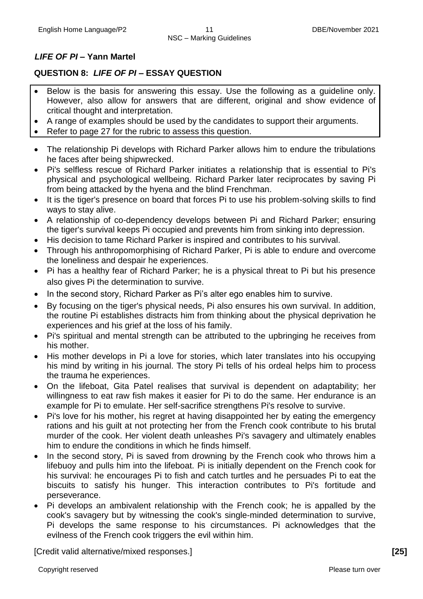# *LIFE OF PI* **– Yann Martel**

# **QUESTION 8:** *LIFE OF PI* **– ESSAY QUESTION**

- Below is the basis for answering this essay. Use the following as a guideline only. However, also allow for answers that are different, original and show evidence of critical thought and interpretation.
- A range of examples should be used by the candidates to support their arguments.
- Refer to page 27 for the rubric to assess this question.
- The relationship Pi develops with Richard Parker allows him to endure the tribulations he faces after being shipwrecked.
- Pi's selfless rescue of Richard Parker initiates a relationship that is essential to Pi's physical and psychological wellbeing. Richard Parker later reciprocates by saving Pi from being attacked by the hyena and the blind Frenchman.
- It is the tiger's presence on board that forces Pi to use his problem-solving skills to find ways to stay alive.
- A relationship of co-dependency develops between Pi and Richard Parker; ensuring the tiger's survival keeps Pi occupied and prevents him from sinking into depression.
- His decision to tame Richard Parker is inspired and contributes to his survival.
- Through his anthropomorphising of Richard Parker, Pi is able to endure and overcome the loneliness and despair he experiences.
- Pi has a healthy fear of Richard Parker; he is a physical threat to Pi but his presence also gives Pi the determination to survive.
- In the second story, Richard Parker as Pi's alter ego enables him to survive.
- By focusing on the tiger's physical needs, Pi also ensures his own survival. In addition, the routine Pi establishes distracts him from thinking about the physical deprivation he experiences and his grief at the loss of his family.
- Pi's spiritual and mental strength can be attributed to the upbringing he receives from his mother.
- His mother develops in Pi a love for stories, which later translates into his occupying his mind by writing in his journal. The story Pi tells of his ordeal helps him to process the trauma he experiences.
- On the lifeboat, Gita Patel realises that survival is dependent on adaptability; her willingness to eat raw fish makes it easier for Pi to do the same. Her endurance is an example for Pi to emulate. Her self-sacrifice strengthens Pi's resolve to survive.
- Pi's love for his mother, his regret at having disappointed her by eating the emergency rations and his guilt at not protecting her from the French cook contribute to his brutal murder of the cook. Her violent death unleashes Pi's savagery and ultimately enables him to endure the conditions in which he finds himself.
- In the second story, Pi is saved from drowning by the French cook who throws him a lifebuoy and pulls him into the lifeboat. Pi is initially dependent on the French cook for his survival: he encourages Pi to fish and catch turtles and he persuades Pi to eat the biscuits to satisfy his hunger. This interaction contributes to Pi's fortitude and perseverance.
- Pi develops an ambivalent relationship with the French cook; he is appalled by the cook's savagery but by witnessing the cook's single-minded determination to survive, Pi develops the same response to his circumstances. Pi acknowledges that the evilness of the French cook triggers the evil within him.

[Credit valid alternative/mixed responses.] **[25]**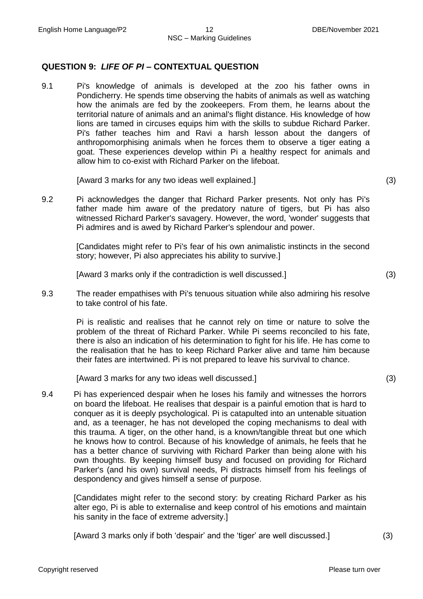#### **QUESTION 9:** *LIFE OF PI* **– CONTEXTUAL QUESTION**

9.1 Pi's knowledge of animals is developed at the zoo his father owns in Pondicherry. He spends time observing the habits of animals as well as watching how the animals are fed by the zookeepers. From them, he learns about the territorial nature of animals and an animal's flight distance. His knowledge of how lions are tamed in circuses equips him with the skills to subdue Richard Parker. Pi's father teaches him and Ravi a harsh lesson about the dangers of anthropomorphising animals when he forces them to observe a tiger eating a goat. These experiences develop within Pi a healthy respect for animals and allow him to co-exist with Richard Parker on the lifeboat.

[Award 3 marks for any two ideas well explained.] (3)

9.2 Pi acknowledges the danger that Richard Parker presents. Not only has Pi's father made him aware of the predatory nature of tigers, but Pi has also witnessed Richard Parker's savagery. However, the word, 'wonder' suggests that Pi admires and is awed by Richard Parker's splendour and power.

> [Candidates might refer to Pi's fear of his own animalistic instincts in the second story; however, Pi also appreciates his ability to survive.]

[Award 3 marks only if the contradiction is well discussed.] (3)

9.3 The reader empathises with Pi's tenuous situation while also admiring his resolve to take control of his fate.

> Pi is realistic and realises that he cannot rely on time or nature to solve the problem of the threat of Richard Parker. While Pi seems reconciled to his fate, there is also an indication of his determination to fight for his life. He has come to the realisation that he has to keep Richard Parker alive and tame him because their fates are intertwined. Pi is not prepared to leave his survival to chance.

[Award 3 marks for any two ideas well discussed.] (3)

9.4 Pi has experienced despair when he loses his family and witnesses the horrors on board the lifeboat. He realises that despair is a painful emotion that is hard to conquer as it is deeply psychological. Pi is catapulted into an untenable situation and, as a teenager, he has not developed the coping mechanisms to deal with this trauma. A tiger, on the other hand, is a known/tangible threat but one which he knows how to control. Because of his knowledge of animals, he feels that he has a better chance of surviving with Richard Parker than being alone with his own thoughts. By keeping himself busy and focused on providing for Richard Parker's (and his own) survival needs, Pi distracts himself from his feelings of despondency and gives himself a sense of purpose.

[Candidates might refer to the second story: by creating Richard Parker as his alter ego, Pi is able to externalise and keep control of his emotions and maintain his sanity in the face of extreme adversity.]

[Award 3 marks only if both 'despair' and the 'tiger' are well discussed.] (3)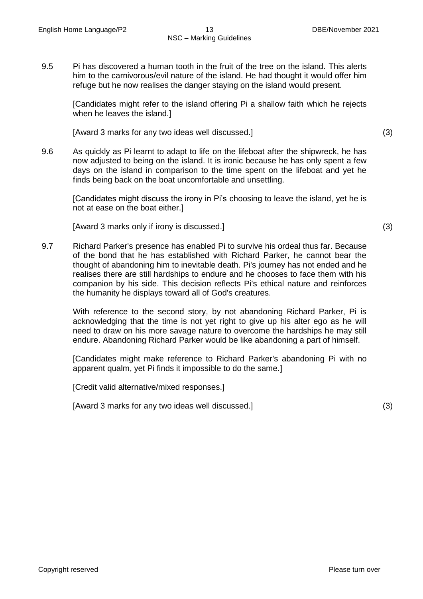9.5 Pi has discovered a human tooth in the fruit of the tree on the island. This alerts him to the carnivorous/evil nature of the island. He had thought it would offer him refuge but he now realises the danger staying on the island would present.

[Candidates might refer to the island offering Pi a shallow faith which he rejects when he leaves the island.]

[Award 3 marks for any two ideas well discussed.] (3)

9.6 As quickly as Pi learnt to adapt to life on the lifeboat after the shipwreck, he has now adjusted to being on the island. It is ironic because he has only spent a few days on the island in comparison to the time spent on the lifeboat and yet he finds being back on the boat uncomfortable and unsettling.

[Candidates might discuss the irony in Pi's choosing to leave the island, yet he is not at ease on the boat either.]

[Award 3 marks only if irony is discussed.] (3)

9.7 Richard Parker's presence has enabled Pi to survive his ordeal thus far. Because of the bond that he has established with Richard Parker, he cannot bear the thought of abandoning him to inevitable death. Pi's journey has not ended and he realises there are still hardships to endure and he chooses to face them with his companion by his side. This decision reflects Pi's ethical nature and reinforces the humanity he displays toward all of God's creatures.

With reference to the second story, by not abandoning Richard Parker, Pi is acknowledging that the time is not yet right to give up his alter ego as he will need to draw on his more savage nature to overcome the hardships he may still endure. Abandoning Richard Parker would be like abandoning a part of himself.

[Candidates might make reference to Richard Parker's abandoning Pi with no apparent qualm, yet Pi finds it impossible to do the same.]

[Credit valid alternative/mixed responses.]

[Award 3 marks for any two ideas well discussed.] (3)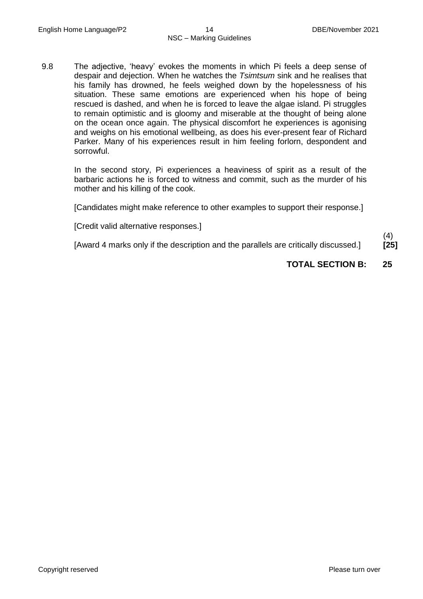9.8 The adjective, 'heavy' evokes the moments in which Pi feels a deep sense of despair and dejection. When he watches the *Tsimtsum* sink and he realises that his family has drowned, he feels weighed down by the hopelessness of his situation. These same emotions are experienced when his hope of being rescued is dashed, and when he is forced to leave the algae island. Pi struggles to remain optimistic and is gloomy and miserable at the thought of being alone on the ocean once again. The physical discomfort he experiences is agonising and weighs on his emotional wellbeing, as does his ever-present fear of Richard Parker. Many of his experiences result in him feeling forlorn, despondent and sorrowful.

In the second story, Pi experiences a heaviness of spirit as a result of the barbaric actions he is forced to witness and commit, such as the murder of his mother and his killing of the cook.

[Candidates might make reference to other examples to support their response.]

[Credit valid alternative responses.]

[Award 4 marks only if the description and the parallels are critically discussed.] **[25]**

# **TOTAL SECTION B: 25**

(4)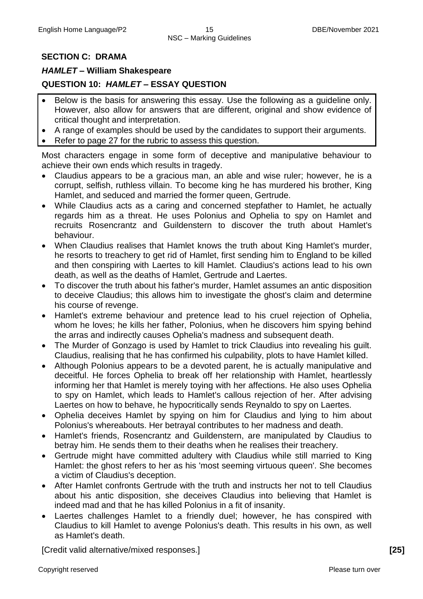# **SECTION C: DRAMA**

#### *HAMLET* **– William Shakespeare**

# **QUESTION 10:** *HAMLET* **– ESSAY QUESTION**

- Below is the basis for answering this essay. Use the following as a guideline only. However, also allow for answers that are different, original and show evidence of critical thought and interpretation.
- A range of examples should be used by the candidates to support their arguments.
- Refer to page 27 for the rubric to assess this question.

Most characters engage in some form of deceptive and manipulative behaviour to achieve their own ends which results in tragedy.

- Claudius appears to be a gracious man, an able and wise ruler; however, he is a corrupt, selfish, ruthless villain. To become king he has murdered his brother, King Hamlet, and seduced and married the former queen, Gertrude.
- While Claudius acts as a caring and concerned stepfather to Hamlet, he actually regards him as a threat. He uses Polonius and Ophelia to spy on Hamlet and recruits Rosencrantz and Guildenstern to discover the truth about Hamlet's behaviour.
- When Claudius realises that Hamlet knows the truth about King Hamlet's murder, he resorts to treachery to get rid of Hamlet, first sending him to England to be killed and then conspiring with Laertes to kill Hamlet. Claudius's actions lead to his own death, as well as the deaths of Hamlet, Gertrude and Laertes.
- To discover the truth about his father's murder, Hamlet assumes an antic disposition to deceive Claudius; this allows him to investigate the ghost's claim and determine his course of revenge.
- Hamlet's extreme behaviour and pretence lead to his cruel rejection of Ophelia, whom he loves; he kills her father, Polonius, when he discovers him spying behind the arras and indirectly causes Ophelia's madness and subsequent death.
- The Murder of Gonzago is used by Hamlet to trick Claudius into revealing his guilt. Claudius, realising that he has confirmed his culpability, plots to have Hamlet killed.
- Although Polonius appears to be a devoted parent, he is actually manipulative and deceitful. He forces Ophelia to break off her relationship with Hamlet, heartlessly informing her that Hamlet is merely toying with her affections. He also uses Ophelia to spy on Hamlet, which leads to Hamlet's callous rejection of her. After advising Laertes on how to behave, he hypocritically sends Reynaldo to spy on Laertes.
- Ophelia deceives Hamlet by spying on him for Claudius and lying to him about Polonius's whereabouts. Her betrayal contributes to her madness and death.
- Hamlet's friends, Rosencrantz and Guildenstern, are manipulated by Claudius to betray him. He sends them to their deaths when he realises their treachery.
- Gertrude might have committed adultery with Claudius while still married to King Hamlet: the ghost refers to her as his 'most seeming virtuous queen'. She becomes a victim of Claudius's deception.
- After Hamlet confronts Gertrude with the truth and instructs her not to tell Claudius about his antic disposition, she deceives Claudius into believing that Hamlet is indeed mad and that he has killed Polonius in a fit of insanity.
- Laertes challenges Hamlet to a friendly duel; however, he has conspired with Claudius to kill Hamlet to avenge Polonius's death. This results in his own, as well as Hamlet's death.

[Credit valid alternative/mixed responses.] **[25]**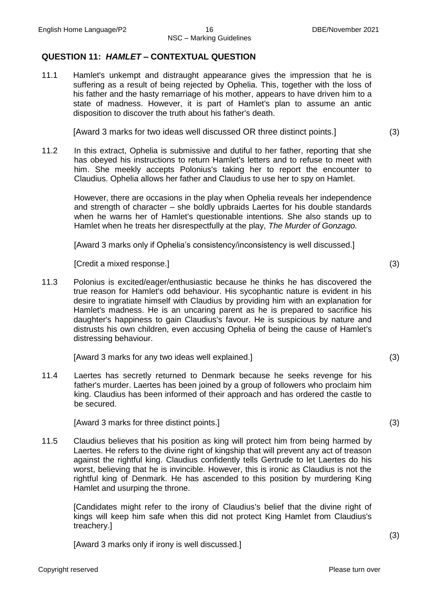#### **QUESTION 11:** *HAMLET* **– CONTEXTUAL QUESTION**

11.1 Hamlet's unkempt and distraught appearance gives the impression that he is suffering as a result of being rejected by Ophelia. This, together with the loss of his father and the hasty remarriage of his mother, appears to have driven him to a state of madness. However, it is part of Hamlet's plan to assume an antic disposition to discover the truth about his father's death.

[Award 3 marks for two ideas well discussed OR three distinct points.] (3)

11.2 In this extract, Ophelia is submissive and dutiful to her father, reporting that she has obeyed his instructions to return Hamlet's letters and to refuse to meet with him. She meekly accepts Polonius's taking her to report the encounter to Claudius. Ophelia allows her father and Claudius to use her to spy on Hamlet.

However, there are occasions in the play when Ophelia reveals her independence and strength of character – she boldly upbraids Laertes for his double standards when he warns her of Hamlet's questionable intentions. She also stands up to Hamlet when he treats her disrespectfully at the play, *The Murder of Gonzago.*

[Award 3 marks only if Ophelia's consistency/inconsistency is well discussed.]

[Credit a mixed response.] (3)

11.3 Polonius is excited/eager/enthusiastic because he thinks he has discovered the true reason for Hamlet's odd behaviour. His sycophantic nature is evident in his desire to ingratiate himself with Claudius by providing him with an explanation for Hamlet's madness. He is an uncaring parent as he is prepared to sacrifice his daughter's happiness to gain Claudius's favour. He is suspicious by nature and distrusts his own children, even accusing Ophelia of being the cause of Hamlet's distressing behaviour.

[Award 3 marks for any two ideas well explained.] (3)

11.4 Laertes has secretly returned to Denmark because he seeks revenge for his father's murder. Laertes has been joined by a group of followers who proclaim him king. Claudius has been informed of their approach and has ordered the castle to be secured.

[Award 3 marks for three distinct points.] (3)

11.5 Claudius believes that his position as king will protect him from being harmed by Laertes. He refers to the divine right of kingship that will prevent any act of treason against the rightful king. Claudius confidently tells Gertrude to let Laertes do his worst, believing that he is invincible. However, this is ironic as Claudius is not the rightful king of Denmark. He has ascended to this position by murdering King Hamlet and usurping the throne.

[Candidates might refer to the irony of Claudius's belief that the divine right of kings will keep him safe when this did not protect King Hamlet from Claudius's treachery.]

[Award 3 marks only if irony is well discussed.]

(3)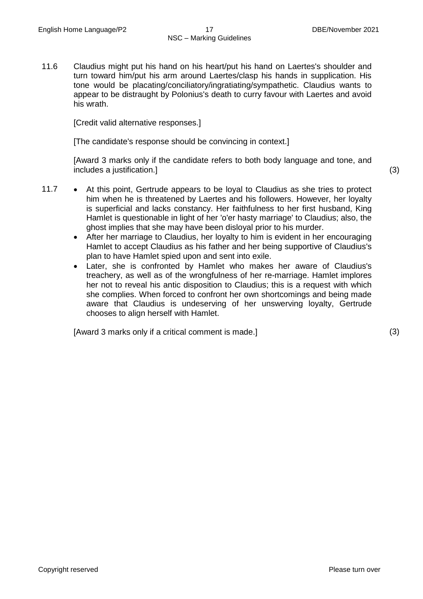11.6 Claudius might put his hand on his heart/put his hand on Laertes's shoulder and turn toward him/put his arm around Laertes/clasp his hands in supplication. His tone would be placating/conciliatory/ingratiating/sympathetic. Claudius wants to appear to be distraught by Polonius's death to curry favour with Laertes and avoid his wrath.

[Credit valid alternative responses.]

[The candidate's response should be convincing in context.]

[Award 3 marks only if the candidate refers to both body language and tone, and includes a justification.] (3)

- 11.7 At this point, Gertrude appears to be loyal to Claudius as she tries to protect him when he is threatened by Laertes and his followers. However, her loyalty is superficial and lacks constancy. Her faithfulness to her first husband, King Hamlet is questionable in light of her 'o'er hasty marriage' to Claudius; also, the ghost implies that she may have been disloyal prior to his murder.
	- After her marriage to Claudius, her loyalty to him is evident in her encouraging Hamlet to accept Claudius as his father and her being supportive of Claudius's plan to have Hamlet spied upon and sent into exile.
	- Later, she is confronted by Hamlet who makes her aware of Claudius's treachery, as well as of the wrongfulness of her re-marriage. Hamlet implores her not to reveal his antic disposition to Claudius; this is a request with which she complies. When forced to confront her own shortcomings and being made aware that Claudius is undeserving of her unswerving loyalty, Gertrude chooses to align herself with Hamlet.

[Award 3 marks only if a critical comment is made.] (3)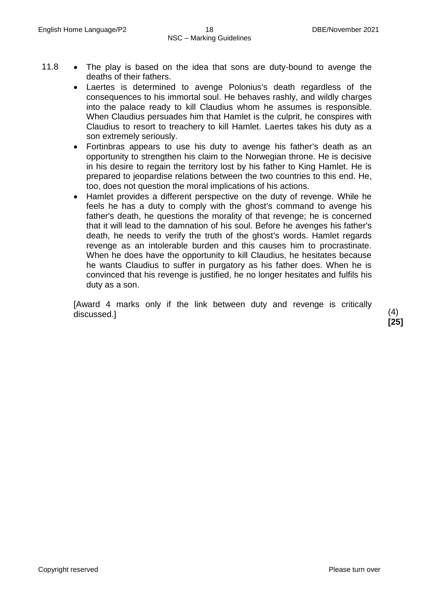- 11.8  $\bullet$  The play is based on the idea that sons are duty-bound to avenge the deaths of their fathers.
	- Laertes is determined to avenge Polonius's death regardless of the consequences to his immortal soul. He behaves rashly, and wildly charges into the palace ready to kill Claudius whom he assumes is responsible. When Claudius persuades him that Hamlet is the culprit, he conspires with Claudius to resort to treachery to kill Hamlet. Laertes takes his duty as a son extremely seriously.
	- Fortinbras appears to use his duty to avenge his father's death as an opportunity to strengthen his claim to the Norwegian throne. He is decisive in his desire to regain the territory lost by his father to King Hamlet. He is prepared to jeopardise relations between the two countries to this end. He, too, does not question the moral implications of his actions.
	- Hamlet provides a different perspective on the duty of revenge. While he feels he has a duty to comply with the ghost's command to avenge his father's death, he questions the morality of that revenge; he is concerned that it will lead to the damnation of his soul. Before he avenges his father's death, he needs to verify the truth of the ghost's words. Hamlet regards revenge as an intolerable burden and this causes him to procrastinate. When he does have the opportunity to kill Claudius, he hesitates because he wants Claudius to suffer in purgatory as his father does. When he is convinced that his revenge is justified, he no longer hesitates and fulfils his duty as a son.

[Award 4 marks only if the link between duty and revenge is critically discussed.] (4)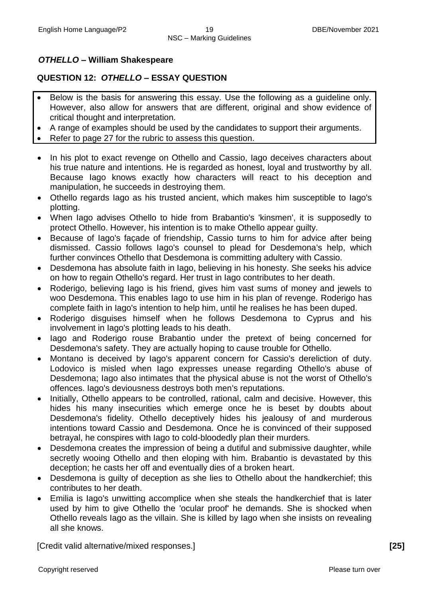# *OTHELLO* **– William Shakespeare**

# **QUESTION 12:** *OTHELLO* **– ESSAY QUESTION**

- Below is the basis for answering this essay. Use the following as a guideline only. However, also allow for answers that are different, original and show evidence of critical thought and interpretation.
- A range of examples should be used by the candidates to support their arguments.
- Refer to page 27 for the rubric to assess this question.
- In his plot to exact revenge on Othello and Cassio, Iago deceives characters about his true nature and intentions. He is regarded as honest, loyal and trustworthy by all. Because Iago knows exactly how characters will react to his deception and manipulation, he succeeds in destroying them.
- Othello regards Iago as his trusted ancient, which makes him susceptible to Iago's plotting.
- When Iago advises Othello to hide from Brabantio's 'kinsmen', it is supposedly to protect Othello. However, his intention is to make Othello appear guilty.
- Because of lago's façade of friendship, Cassio turns to him for advice after being dismissed. Cassio follows Iago's counsel to plead for Desdemona's help, which further convinces Othello that Desdemona is committing adultery with Cassio.
- Desdemona has absolute faith in Iago, believing in his honesty. She seeks his advice on how to regain Othello's regard. Her trust in Iago contributes to her death.
- Roderigo, believing lago is his friend, gives him vast sums of money and jewels to woo Desdemona. This enables Iago to use him in his plan of revenge. Roderigo has complete faith in Iago's intention to help him, until he realises he has been duped.
- Roderigo disguises himself when he follows Desdemona to Cyprus and his involvement in Iago's plotting leads to his death.
- Iago and Roderigo rouse Brabantio under the pretext of being concerned for Desdemona's safety. They are actually hoping to cause trouble for Othello.
- Montano is deceived by Iago's apparent concern for Cassio's dereliction of duty. Lodovico is misled when Iago expresses unease regarding Othello's abuse of Desdemona; Iago also intimates that the physical abuse is not the worst of Othello's offences. Iago's deviousness destroys both men's reputations.
- Initially, Othello appears to be controlled, rational, calm and decisive. However, this hides his many insecurities which emerge once he is beset by doubts about Desdemona's fidelity. Othello deceptively hides his jealousy of and murderous intentions toward Cassio and Desdemona. Once he is convinced of their supposed betrayal, he conspires with Iago to cold-bloodedly plan their murders.
- Desdemona creates the impression of being a dutiful and submissive daughter, while secretly wooing Othello and then eloping with him. Brabantio is devastated by this deception; he casts her off and eventually dies of a broken heart.
- Desdemona is guilty of deception as she lies to Othello about the handkerchief; this contributes to her death.
- Emilia is Iago's unwitting accomplice when she steals the handkerchief that is later used by him to give Othello the 'ocular proof' he demands. She is shocked when Othello reveals Iago as the villain. She is killed by Iago when she insists on revealing all she knows.

[Credit valid alternative/mixed responses.] **[25]**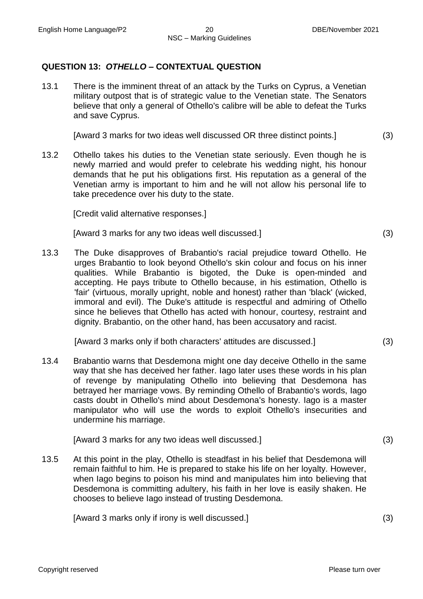# **QUESTION 13:** *OTHELLO* **– CONTEXTUAL QUESTION**

13.1 There is the imminent threat of an attack by the Turks on Cyprus, a Venetian military outpost that is of strategic value to the Venetian state. The Senators believe that only a general of Othello's calibre will be able to defeat the Turks and save Cyprus.

[Award 3 marks for two ideas well discussed OR three distinct points.] (3)

13.2 Othello takes his duties to the Venetian state seriously. Even though he is newly married and would prefer to celebrate his wedding night, his honour demands that he put his obligations first. His reputation as a general of the Venetian army is important to him and he will not allow his personal life to take precedence over his duty to the state.

[Credit valid alternative responses.]

[Award 3 marks for any two ideas well discussed.] (3)

13.3 The Duke disapproves of Brabantio's racial prejudice toward Othello. He urges Brabantio to look beyond Othello's skin colour and focus on his inner qualities. While Brabantio is bigoted, the Duke is open-minded and accepting. He pays tribute to Othello because, in his estimation, Othello is 'fair' (virtuous, morally upright, noble and honest) rather than 'black' (wicked, immoral and evil). The Duke's attitude is respectful and admiring of Othello since he believes that Othello has acted with honour, courtesy, restraint and dignity. Brabantio, on the other hand, has been accusatory and racist.

[Award 3 marks only if both characters' attitudes are discussed.] (3)

13.4 Brabantio warns that Desdemona might one day deceive Othello in the same way that she has deceived her father. Iago later uses these words in his plan of revenge by manipulating Othello into believing that Desdemona has betrayed her marriage vows. By reminding Othello of Brabantio's words, Iago casts doubt in Othello's mind about Desdemona's honesty. Iago is a master manipulator who will use the words to exploit Othello's insecurities and undermine his marriage.

[Award 3 marks for any two ideas well discussed.] (3)

13.5 At this point in the play, Othello is steadfast in his belief that Desdemona will remain faithful to him. He is prepared to stake his life on her loyalty. However, when Iago begins to poison his mind and manipulates him into believing that Desdemona is committing adultery, his faith in her love is easily shaken. He chooses to believe Iago instead of trusting Desdemona.

[Award 3 marks only if irony is well discussed.] (3)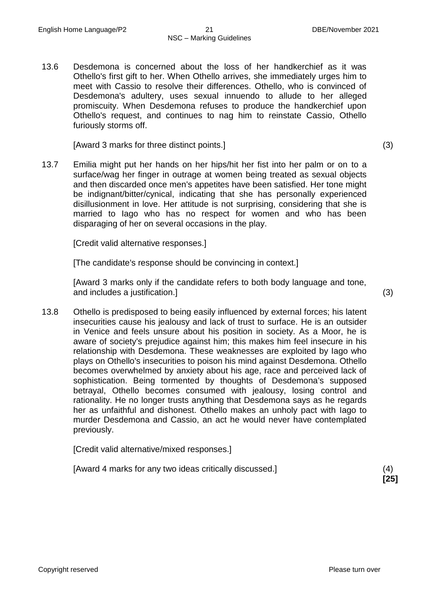13.6 Desdemona is concerned about the loss of her handkerchief as it was Othello's first gift to her. When Othello arrives, she immediately urges him to meet with Cassio to resolve their differences. Othello, who is convinced of Desdemona's adultery, uses sexual innuendo to allude to her alleged promiscuity. When Desdemona refuses to produce the handkerchief upon Othello's request, and continues to nag him to reinstate Cassio, Othello furiously storms off.

[Award 3 marks for three distinct points.] (3)

13.7 Emilia might put her hands on her hips/hit her fist into her palm or on to a surface/wag her finger in outrage at women being treated as sexual objects and then discarded once men's appetites have been satisfied. Her tone might be indignant/bitter/cynical, indicating that she has personally experienced disillusionment in love. Her attitude is not surprising, considering that she is married to Iago who has no respect for women and who has been disparaging of her on several occasions in the play.

[Credit valid alternative responses.]

[The candidate's response should be convincing in context.]

[Award 3 marks only if the candidate refers to both body language and tone, and includes a justification.] (3)

13.8 Othello is predisposed to being easily influenced by external forces; his latent insecurities cause his jealousy and lack of trust to surface. He is an outsider in Venice and feels unsure about his position in society. As a Moor, he is aware of society's prejudice against him; this makes him feel insecure in his relationship with Desdemona. These weaknesses are exploited by Iago who plays on Othello's insecurities to poison his mind against Desdemona. Othello becomes overwhelmed by anxiety about his age, race and perceived lack of sophistication. Being tormented by thoughts of Desdemona's supposed betrayal, Othello becomes consumed with jealousy, losing control and rationality. He no longer trusts anything that Desdemona says as he regards her as unfaithful and dishonest. Othello makes an unholy pact with Iago to murder Desdemona and Cassio, an act he would never have contemplated previously.

[Credit valid alternative/mixed responses.]

[Award 4 marks for any two ideas critically discussed.] (4)

**[25]**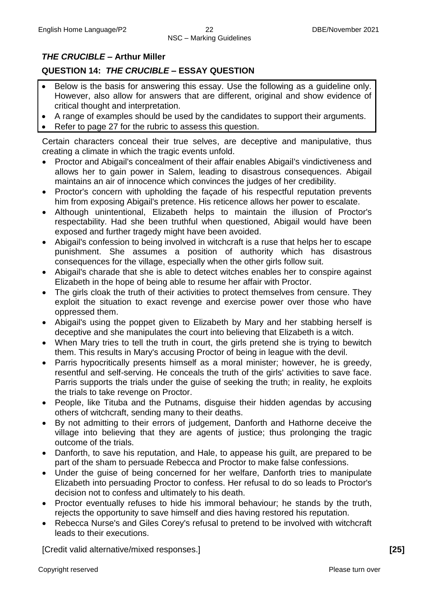# *THE CRUCIBLE* **– Arthur Miller**

# **QUESTION 14:** *THE CRUCIBLE* **– ESSAY QUESTION**

- Below is the basis for answering this essay. Use the following as a guideline only. However, also allow for answers that are different, original and show evidence of critical thought and interpretation.
- A range of examples should be used by the candidates to support their arguments.
- Refer to page 27 for the rubric to assess this question.

Certain characters conceal their true selves, are deceptive and manipulative, thus creating a climate in which the tragic events unfold.

- Proctor and Abigail's concealment of their affair enables Abigail's vindictiveness and allows her to gain power in Salem, leading to disastrous consequences. Abigail maintains an air of innocence which convinces the judges of her credibility.
- Proctor's concern with upholding the facade of his respectful reputation prevents him from exposing Abigail's pretence. His reticence allows her power to escalate.
- Although unintentional, Elizabeth helps to maintain the illusion of Proctor's respectability. Had she been truthful when questioned, Abigail would have been exposed and further tragedy might have been avoided.
- Abigail's confession to being involved in witchcraft is a ruse that helps her to escape punishment. She assumes a position of authority which has disastrous consequences for the village, especially when the other girls follow suit.
- Abigail's charade that she is able to detect witches enables her to conspire against Elizabeth in the hope of being able to resume her affair with Proctor.
- The girls cloak the truth of their activities to protect themselves from censure. They exploit the situation to exact revenge and exercise power over those who have oppressed them.
- Abigail's using the poppet given to Elizabeth by Mary and her stabbing herself is deceptive and she manipulates the court into believing that Elizabeth is a witch.
- When Mary tries to tell the truth in court, the girls pretend she is trying to bewitch them. This results in Mary's accusing Proctor of being in league with the devil.
- Parris hypocritically presents himself as a moral minister; however, he is greedy, resentful and self-serving. He conceals the truth of the girls' activities to save face. Parris supports the trials under the guise of seeking the truth; in reality, he exploits the trials to take revenge on Proctor.
- People, like Tituba and the Putnams, disguise their hidden agendas by accusing others of witchcraft, sending many to their deaths.
- By not admitting to their errors of judgement, Danforth and Hathorne deceive the village into believing that they are agents of justice; thus prolonging the tragic outcome of the trials.
- Danforth, to save his reputation, and Hale, to appease his guilt, are prepared to be part of the sham to persuade Rebecca and Proctor to make false confessions.
- Under the guise of being concerned for her welfare, Danforth tries to manipulate Elizabeth into persuading Proctor to confess. Her refusal to do so leads to Proctor's decision not to confess and ultimately to his death.
- Proctor eventually refuses to hide his immoral behaviour; he stands by the truth, rejects the opportunity to save himself and dies having restored his reputation.
- Rebecca Nurse's and Giles Corey's refusal to pretend to be involved with witchcraft leads to their executions.

[Credit valid alternative/mixed responses.] **[25]**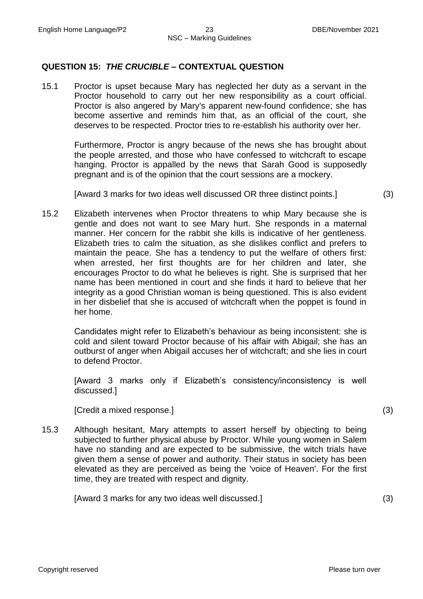# **QUESTION 15:** *THE CRUCIBLE* **– CONTEXTUAL QUESTION**

15.1 Proctor is upset because Mary has neglected her duty as a servant in the Proctor household to carry out her new responsibility as a court official. Proctor is also angered by Mary's apparent new-found confidence; she has become assertive and reminds him that, as an official of the court, she deserves to be respected. Proctor tries to re-establish his authority over her.

Furthermore, Proctor is angry because of the news she has brought about the people arrested, and those who have confessed to witchcraft to escape hanging. Proctor is appalled by the news that Sarah Good is supposedly pregnant and is of the opinion that the court sessions are a mockery.

[Award 3 marks for two ideas well discussed OR three distinct points.] (3)

15.2 Elizabeth intervenes when Proctor threatens to whip Mary because she is gentle and does not want to see Mary hurt. She responds in a maternal manner. Her concern for the rabbit she kills is indicative of her gentleness. Elizabeth tries to calm the situation, as she dislikes conflict and prefers to maintain the peace. She has a tendency to put the welfare of others first: when arrested, her first thoughts are for her children and later, she encourages Proctor to do what he believes is right. She is surprised that her name has been mentioned in court and she finds it hard to believe that her integrity as a good Christian woman is being questioned. This is also evident in her disbelief that she is accused of witchcraft when the poppet is found in her home.

Candidates might refer to Elizabeth's behaviour as being inconsistent: she is cold and silent toward Proctor because of his affair with Abigail; she has an outburst of anger when Abigail accuses her of witchcraft; and she lies in court to defend Proctor.

[Award 3 marks only if Elizabeth's consistency/inconsistency is well discussed.]

[Credit a mixed response.] (3)

15.3 Although hesitant, Mary attempts to assert herself by objecting to being subjected to further physical abuse by Proctor. While young women in Salem have no standing and are expected to be submissive, the witch trials have given them a sense of power and authority. Their status in society has been elevated as they are perceived as being the 'voice of Heaven'. For the first time, they are treated with respect and dignity.

[Award 3 marks for any two ideas well discussed.] (3)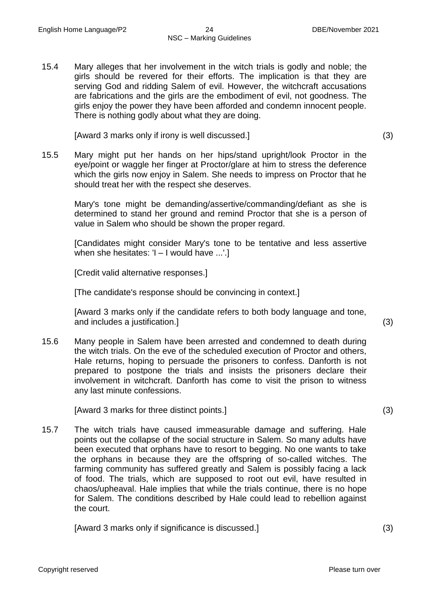15.4 Mary alleges that her involvement in the witch trials is godly and noble; the girls should be revered for their efforts. The implication is that they are serving God and ridding Salem of evil. However, the witchcraft accusations are fabrications and the girls are the embodiment of evil, not goodness. The girls enjoy the power they have been afforded and condemn innocent people. There is nothing godly about what they are doing.

[Award 3 marks only if irony is well discussed.] (3)

15.5 Mary might put her hands on her hips/stand upright/look Proctor in the eye/point or waggle her finger at Proctor/glare at him to stress the deference which the girls now enjoy in Salem. She needs to impress on Proctor that he should treat her with the respect she deserves.

Mary's tone might be demanding/assertive/commanding/defiant as she is determined to stand her ground and remind Proctor that she is a person of value in Salem who should be shown the proper regard.

[Candidates might consider Mary's tone to be tentative and less assertive when she hesitates: 'I – I would have ...'.]

[Credit valid alternative responses.]

[The candidate's response should be convincing in context.]

[Award 3 marks only if the candidate refers to both body language and tone, and includes a justification.] (3)

15.6 Many people in Salem have been arrested and condemned to death during the witch trials. On the eve of the scheduled execution of Proctor and others, Hale returns, hoping to persuade the prisoners to confess. Danforth is not prepared to postpone the trials and insists the prisoners declare their involvement in witchcraft. Danforth has come to visit the prison to witness any last minute confessions.

[Award 3 marks for three distinct points.] (3)

15.7 The witch trials have caused immeasurable damage and suffering. Hale points out the collapse of the social structure in Salem. So many adults have been executed that orphans have to resort to begging. No one wants to take the orphans in because they are the offspring of so-called witches. The farming community has suffered greatly and Salem is possibly facing a lack of food. The trials, which are supposed to root out evil, have resulted in chaos/upheaval. Hale implies that while the trials continue, there is no hope for Salem. The conditions described by Hale could lead to rebellion against the court.

[Award 3 marks only if significance is discussed.] (3)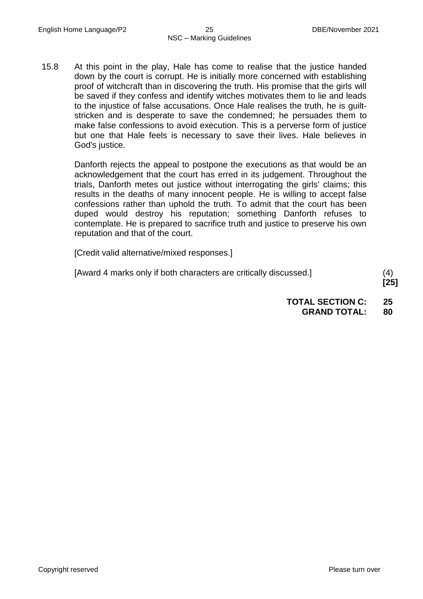15.8 At this point in the play, Hale has come to realise that the justice handed down by the court is corrupt. He is initially more concerned with establishing proof of witchcraft than in discovering the truth. His promise that the girls will be saved if they confess and identify witches motivates them to lie and leads to the injustice of false accusations. Once Hale realises the truth, he is guiltstricken and is desperate to save the condemned; he persuades them to make false confessions to avoid execution. This is a perverse form of justice but one that Hale feels is necessary to save their lives. Hale believes in God's justice.

Danforth rejects the appeal to postpone the executions as that would be an acknowledgement that the court has erred in its judgement. Throughout the trials, Danforth metes out justice without interrogating the girls' claims; this results in the deaths of many innocent people. He is willing to accept false confessions rather than uphold the truth. To admit that the court has been duped would destroy his reputation; something Danforth refuses to contemplate. He is prepared to sacrifice truth and justice to preserve his own reputation and that of the court.

[Credit valid alternative/mixed responses.]

[Award 4 marks only if both characters are critically discussed.] (4)

**[25]**

**TOTAL SECTION C: 25 GRAND TOTAL: 80**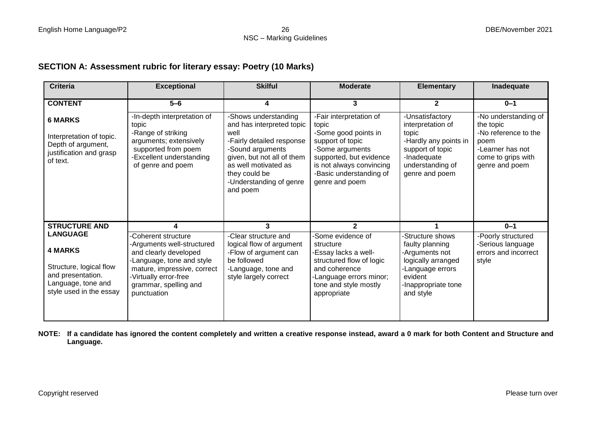# NSC – Marking Guidelines

# **SECTION A: Assessment rubric for literary essay: Poetry (10 Marks)**

| <b>Criteria</b>                                                                                                                    | <b>Exceptional</b>                                                                                                                                                                                     | <b>Skilful</b>                                                                                                                                                                                                           | <b>Moderate</b>                                                                                                                                                                                     | <b>Elementary</b>                                                                                                                               | Inadequate                                                                                                                    |
|------------------------------------------------------------------------------------------------------------------------------------|--------------------------------------------------------------------------------------------------------------------------------------------------------------------------------------------------------|--------------------------------------------------------------------------------------------------------------------------------------------------------------------------------------------------------------------------|-----------------------------------------------------------------------------------------------------------------------------------------------------------------------------------------------------|-------------------------------------------------------------------------------------------------------------------------------------------------|-------------------------------------------------------------------------------------------------------------------------------|
| <b>CONTENT</b>                                                                                                                     | $5-6$                                                                                                                                                                                                  | 4                                                                                                                                                                                                                        | 3                                                                                                                                                                                                   | $\mathbf{2}$                                                                                                                                    | $0 - 1$                                                                                                                       |
| <b>6 MARKS</b><br>Interpretation of topic.<br>Depth of argument,<br>justification and grasp<br>of text.                            | -In-depth interpretation of<br>topic<br>-Range of striking<br>arguments; extensively<br>supported from poem<br>-Excellent understanding<br>of genre and poem                                           | -Shows understanding<br>and has interpreted topic<br>well<br>-Fairly detailed response<br>-Sound arguments<br>given, but not all of them<br>as well motivated as<br>they could be<br>-Understanding of genre<br>and poem | -Fair interpretation of<br>topic<br>-Some good points in<br>support of topic<br>-Some arguments<br>supported, but evidence<br>is not always convincing<br>-Basic understanding of<br>genre and poem | -Unsatisfactory<br>interpretation of<br>topic<br>-Hardly any points in<br>support of topic<br>-Inadequate<br>understanding of<br>genre and poem | -No understanding of<br>the topic<br>-No reference to the<br>poem<br>-Learner has not<br>come to grips with<br>genre and poem |
| <b>STRUCTURE AND</b>                                                                                                               | 4                                                                                                                                                                                                      | 3                                                                                                                                                                                                                        | $\mathbf{2}$                                                                                                                                                                                        |                                                                                                                                                 | $0 - 1$                                                                                                                       |
| <b>LANGUAGE</b><br><b>4 MARKS</b><br>Structure, logical flow<br>and presentation.<br>Language, tone and<br>style used in the essay | -Coherent structure<br>-Arguments well-structured<br>and clearly developed<br>-Language, tone and style<br>mature, impressive, correct<br>Virtually error-free<br>grammar, spelling and<br>punctuation | -Clear structure and<br>logical flow of argument<br>-Flow of argument can<br>be followed<br>-Language, tone and<br>style largely correct                                                                                 | Some evidence of<br>structure<br>-Essay lacks a well-<br>structured flow of logic<br>and coherence<br>-Language errors minor;<br>tone and style mostly<br>appropriate                               | -Structure shows<br>faulty planning<br>-Arguments not<br>logically arranged<br>-Language errors<br>evident<br>-Inappropriate tone<br>and style  | -Poorly structured<br>-Serious language<br>errors and incorrect<br>style                                                      |

**NOTE: If a candidate has ignored the content completely and written a creative response instead, award a 0 mark for both Content and Structure and Language.**